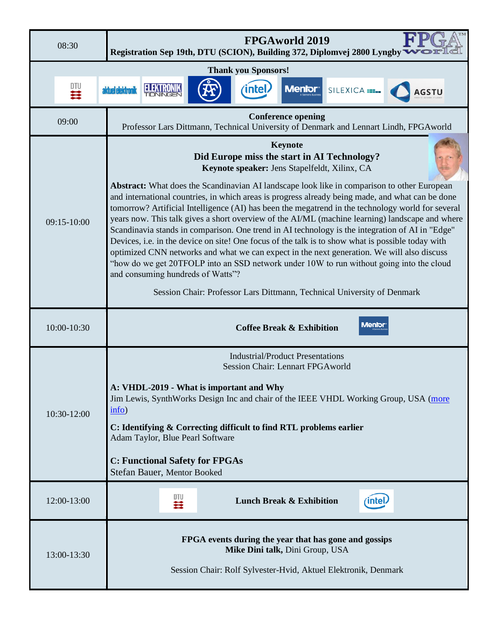| 08:30       |             |                   | <b>FPGAworld 2019</b><br>Registration Sep 19th, DTU (SCION), Building 372, Diplomvej 2800 Lyngby                                                                                                                                                                                                                                                                                                                                                                                                                                                                                                                                                                                                                                                                                                                                                                                                                                                                                                                                            |  |       |                                     |               |  |  |  |
|-------------|-------------|-------------------|---------------------------------------------------------------------------------------------------------------------------------------------------------------------------------------------------------------------------------------------------------------------------------------------------------------------------------------------------------------------------------------------------------------------------------------------------------------------------------------------------------------------------------------------------------------------------------------------------------------------------------------------------------------------------------------------------------------------------------------------------------------------------------------------------------------------------------------------------------------------------------------------------------------------------------------------------------------------------------------------------------------------------------------------|--|-------|-------------------------------------|---------------|--|--|--|
|             |             |                   | <b>Thank you Sponsors!</b>                                                                                                                                                                                                                                                                                                                                                                                                                                                                                                                                                                                                                                                                                                                                                                                                                                                                                                                                                                                                                  |  |       |                                     |               |  |  |  |
|             | 一套          | aktuel elektronik |                                                                                                                                                                                                                                                                                                                                                                                                                                                                                                                                                                                                                                                                                                                                                                                                                                                                                                                                                                                                                                             |  | intel | <b>Menior</b> <sup>®</sup>          | SILEXICA      |  |  |  |
|             | 09:00       |                   | <b>Conference opening</b><br>Professor Lars Dittmann, Technical University of Denmark and Lennart Lindh, FPGAworld                                                                                                                                                                                                                                                                                                                                                                                                                                                                                                                                                                                                                                                                                                                                                                                                                                                                                                                          |  |       |                                     |               |  |  |  |
| 09:15-10:00 |             |                   | Keynote<br>Did Europe miss the start in AI Technology?<br>Keynote speaker: Jens Stapelfeldt, Xilinx, CA<br><b>Abstract:</b> What does the Scandinavian AI landscape look like in comparison to other European<br>and international countries, in which areas is progress already being made, and what can be done<br>tomorrow? Artificial Intelligence (AI) has been the megatrend in the technology world for several<br>years now. This talk gives a short overview of the AI/ML (machine learning) landscape and where<br>Scandinavia stands in comparison. One trend in AI technology is the integration of AI in "Edge"<br>Devices, i.e. in the device on site! One focus of the talk is to show what is possible today with<br>optimized CNN networks and what we can expect in the next generation. We will also discuss<br>"how do we get 20TFOLP into an SSD network under 10W to run without going into the cloud<br>and consuming hundreds of Watts"?<br>Session Chair: Professor Lars Dittmann, Technical University of Denmark |  |       |                                     |               |  |  |  |
|             | 10:00-10:30 |                   | Menior<br><b>Coffee Break &amp; Exhibition</b>                                                                                                                                                                                                                                                                                                                                                                                                                                                                                                                                                                                                                                                                                                                                                                                                                                                                                                                                                                                              |  |       |                                     |               |  |  |  |
| 10:30-12:00 |             | info)             | <b>Industrial/Product Presentations</b><br><b>Session Chair: Lennart FPGAworld</b><br>A: VHDL-2019 - What is important and Why<br>Jim Lewis, SynthWorks Design Inc and chair of the IEEE VHDL Working Group, USA (more<br>C: Identifying & Correcting difficult to find RTL problems earlier<br>Adam Taylor, Blue Pearl Software<br><b>C: Functional Safety for FPGAs</b><br>Stefan Bauer, Mentor Booked                                                                                                                                                                                                                                                                                                                                                                                                                                                                                                                                                                                                                                    |  |       |                                     |               |  |  |  |
|             | 12:00-13:00 |                   | DTU<br>芸                                                                                                                                                                                                                                                                                                                                                                                                                                                                                                                                                                                                                                                                                                                                                                                                                                                                                                                                                                                                                                    |  |       | <b>Lunch Break &amp; Exhibition</b> | $($ intel $)$ |  |  |  |
|             | 13:00-13:30 |                   | FPGA events during the year that has gone and gossips<br>Mike Dini talk, Dini Group, USA<br>Session Chair: Rolf Sylvester-Hvid, Aktuel Elektronik, Denmark                                                                                                                                                                                                                                                                                                                                                                                                                                                                                                                                                                                                                                                                                                                                                                                                                                                                                  |  |       |                                     |               |  |  |  |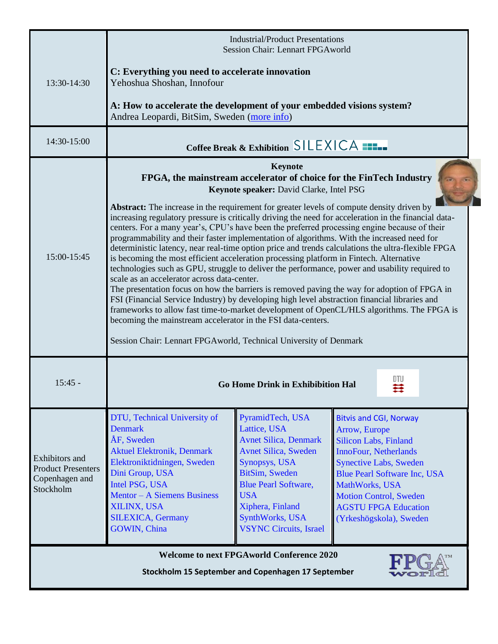|                                                                                                        | <b>Industrial/Product Presentations</b><br>Session Chair: Lennart FPGAworld                                                                                                                                                                                                                                                                                                                                                                                                                                                                                                                                                                                                                                                                                                                                                                                                                                                                                                                                                                                                                                                                                                                                                                                                                                                |                                                                                                                                                                                                                                                                 |                                                                                                                                                                                                                                                                                                     |  |  |  |  |  |
|--------------------------------------------------------------------------------------------------------|----------------------------------------------------------------------------------------------------------------------------------------------------------------------------------------------------------------------------------------------------------------------------------------------------------------------------------------------------------------------------------------------------------------------------------------------------------------------------------------------------------------------------------------------------------------------------------------------------------------------------------------------------------------------------------------------------------------------------------------------------------------------------------------------------------------------------------------------------------------------------------------------------------------------------------------------------------------------------------------------------------------------------------------------------------------------------------------------------------------------------------------------------------------------------------------------------------------------------------------------------------------------------------------------------------------------------|-----------------------------------------------------------------------------------------------------------------------------------------------------------------------------------------------------------------------------------------------------------------|-----------------------------------------------------------------------------------------------------------------------------------------------------------------------------------------------------------------------------------------------------------------------------------------------------|--|--|--|--|--|
| 13:30-14:30                                                                                            | C: Everything you need to accelerate innovation<br>Yehoshua Shoshan, Innofour                                                                                                                                                                                                                                                                                                                                                                                                                                                                                                                                                                                                                                                                                                                                                                                                                                                                                                                                                                                                                                                                                                                                                                                                                                              |                                                                                                                                                                                                                                                                 |                                                                                                                                                                                                                                                                                                     |  |  |  |  |  |
|                                                                                                        | A: How to accelerate the development of your embedded visions system?<br>Andrea Leopardi, BitSim, Sweden (more info)                                                                                                                                                                                                                                                                                                                                                                                                                                                                                                                                                                                                                                                                                                                                                                                                                                                                                                                                                                                                                                                                                                                                                                                                       |                                                                                                                                                                                                                                                                 |                                                                                                                                                                                                                                                                                                     |  |  |  |  |  |
| 14:30-15:00                                                                                            | Coffee Break & Exhibition SILEXICA                                                                                                                                                                                                                                                                                                                                                                                                                                                                                                                                                                                                                                                                                                                                                                                                                                                                                                                                                                                                                                                                                                                                                                                                                                                                                         |                                                                                                                                                                                                                                                                 |                                                                                                                                                                                                                                                                                                     |  |  |  |  |  |
| $15:00-15:45$                                                                                          | Keynote<br>FPGA, the mainstream accelerator of choice for the FinTech Industry<br>Keynote speaker: David Clarke, Intel PSG<br><b>Abstract:</b> The increase in the requirement for greater levels of compute density driven by<br>increasing regulatory pressure is critically driving the need for acceleration in the financial data-<br>centers. For a many year's, CPU's have been the preferred processing engine because of their<br>programmability and their faster implementation of algorithms. With the increased need for<br>deterministic latency, near real-time option price and trends calculations the ultra-flexible FPGA<br>is becoming the most efficient acceleration processing platform in Fintech. Alternative<br>technologies such as GPU, struggle to deliver the performance, power and usability required to<br>scale as an accelerator across data-center.<br>The presentation focus on how the barriers is removed paving the way for adoption of FPGA in<br>FSI (Financial Service Industry) by developing high level abstraction financial libraries and<br>frameworks to allow fast time-to-market development of OpenCL/HLS algorithms. The FPGA is<br>becoming the mainstream accelerator in the FSI data-centers.<br>Session Chair: Lennart FPGAworld, Technical University of Denmark |                                                                                                                                                                                                                                                                 |                                                                                                                                                                                                                                                                                                     |  |  |  |  |  |
| $15:45 -$                                                                                              | <b>Go Home Drink in Exhibibition Hal</b>                                                                                                                                                                                                                                                                                                                                                                                                                                                                                                                                                                                                                                                                                                                                                                                                                                                                                                                                                                                                                                                                                                                                                                                                                                                                                   |                                                                                                                                                                                                                                                                 |                                                                                                                                                                                                                                                                                                     |  |  |  |  |  |
| <b>Exhibitors</b> and<br><b>Product Presenters</b><br>Copenhagen and<br>Stockholm                      | DTU, Technical University of<br><b>Denmark</b><br>ÅF, Sweden<br><b>Aktuel Elektronik, Denmark</b><br>Elektroniktidningen, Sweden<br>Dini Group, USA<br>Intel PSG, USA<br><b>Mentor - A Siemens Business</b><br>XILINX, USA<br><b>SILEXICA, Germany</b><br><b>GOWIN, China</b>                                                                                                                                                                                                                                                                                                                                                                                                                                                                                                                                                                                                                                                                                                                                                                                                                                                                                                                                                                                                                                              | PyramidTech, USA<br>Lattice, USA<br><b>Avnet Silica, Denmark</b><br><b>Avnet Silica, Sweden</b><br>Synopsys, USA<br>BitSim, Sweden<br><b>Blue Pearl Software,</b><br><b>USA</b><br>Xiphera, Finland<br><b>SynthWorks</b> , USA<br><b>VSYNC Circuits, Israel</b> | <b>Bitvis and CGI, Norway</b><br>Arrow, Europe<br><b>Silicon Labs, Finland</b><br><b>InnoFour, Netherlands</b><br><b>Synective Labs, Sweden</b><br><b>Blue Pearl Software Inc, USA</b><br>MathWorks, USA<br><b>Motion Control, Sweden</b><br><b>AGSTU FPGA Education</b><br>(Yrkeshögskola), Sweden |  |  |  |  |  |
| <b>Welcome to next FPGAworld Conference 2020</b><br>Stockholm 15 September and Copenhagen 17 September |                                                                                                                                                                                                                                                                                                                                                                                                                                                                                                                                                                                                                                                                                                                                                                                                                                                                                                                                                                                                                                                                                                                                                                                                                                                                                                                            |                                                                                                                                                                                                                                                                 |                                                                                                                                                                                                                                                                                                     |  |  |  |  |  |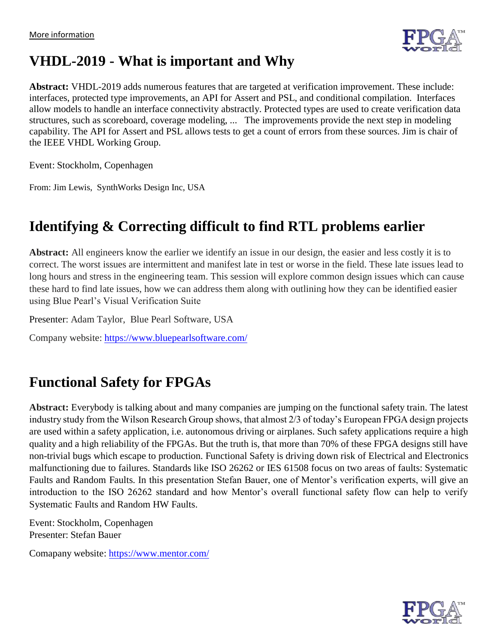

## **VHDL-2019 - What is important and Why**

**Abstract:** VHDL-2019 adds numerous features that are targeted at verification improvement. These include: interfaces, protected type improvements, an API for Assert and PSL, and conditional compilation. Interfaces allow models to handle an interface connectivity abstractly. Protected types are used to create verification data structures, such as scoreboard, coverage modeling, ... The improvements provide the next step in modeling capability. The API for Assert and PSL allows tests to get a count of errors from these sources. Jim is chair of the IEEE VHDL Working Group.

Event: Stockholm, Copenhagen

From: Jim Lewis, SynthWorks Design Inc, USA

# **Identifying & Correcting difficult to find RTL problems earlier**

**Abstract:** All engineers know the earlier we identify an issue in our design, the easier and less costly it is to correct. The worst issues are intermittent and manifest late in test or worse in the field. These late issues lead to long hours and stress in the engineering team. This session will explore common design issues which can cause these hard to find late issues, how we can address them along with outlining how they can be identified easier using Blue Pearl's Visual Verification Suite

Presenter: Adam Taylor, Blue Pearl Software, USA

Company website: <https://www.bluepearlsoftware.com/>

## **Functional Safety for FPGAs**

**Abstract:** Everybody is talking about and many companies are jumping on the functional safety train. The latest industry study from the Wilson Research Group shows, that almost 2/3 of today's European FPGA design projects are used within a safety application, i.e. autonomous driving or airplanes. Such safety applications require a high quality and a high reliability of the FPGAs. But the truth is, that more than 70% of these FPGA designs still have non-trivial bugs which escape to production. Functional Safety is driving down risk of Electrical and Electronics malfunctioning due to failures. Standards like ISO 26262 or IES 61508 focus on two areas of faults: Systematic Faults and Random Faults. In this presentation Stefan Bauer, one of Mentor's verification experts, will give an introduction to the ISO 26262 standard and how Mentor's overall functional safety flow can help to verify Systematic Faults and Random HW Faults.

Event: Stockholm, Copenhagen Presenter: Stefan Bauer

Comapany website:<https://www.mentor.com/>